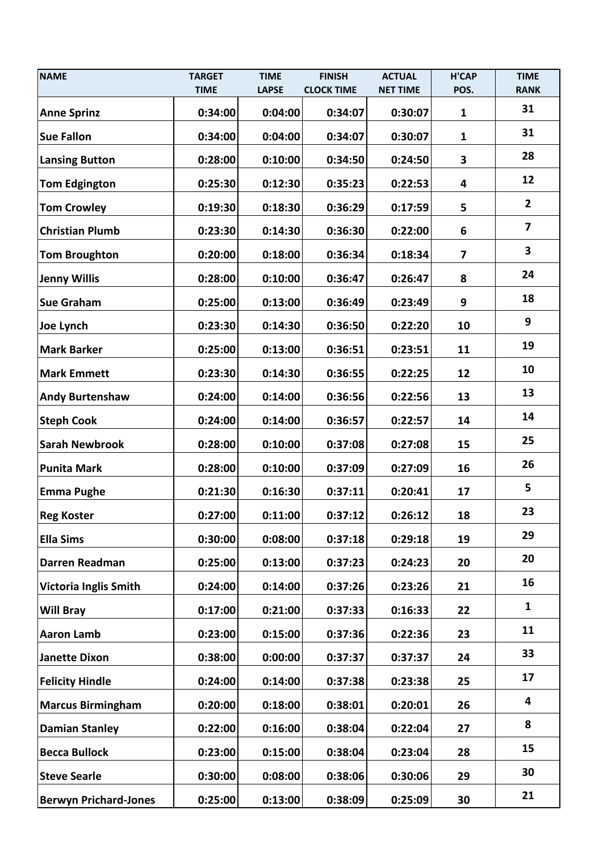| <b>NAME</b>                  | <b>TARGET</b> | <b>TIME</b>  | <b>FINISH</b>     | <b>ACTUAL</b>   | <b>H'CAP</b>            | <b>TIME</b>             |
|------------------------------|---------------|--------------|-------------------|-----------------|-------------------------|-------------------------|
|                              | <b>TIME</b>   | <b>LAPSE</b> | <b>CLOCK TIME</b> | <b>NET TIME</b> | POS.                    | <b>RANK</b>             |
| <b>Anne Sprinz</b>           | 0:34:00       | 0:04:00      | 0:34:07           | 0:30:07         | $\mathbf{1}$            | 31                      |
| <b>Sue Fallon</b>            | 0:34:00       | 0:04:00      | 0:34:07           | 0:30:07         | $\mathbf{1}$            | 31                      |
| <b>Lansing Button</b>        | 0:28:00       | 0:10:00      | 0:34:50           | 0:24:50         | $\overline{\mathbf{3}}$ | 28                      |
| <b>Tom Edgington</b>         | 0:25:30       | 0:12:30      | 0:35:23           | 0:22:53         | 4                       | 12                      |
| <b>Tom Crowley</b>           | 0:19:30       | 0:18:30      | 0:36:29           | 0:17:59         | 5                       | $\overline{2}$          |
| <b>Christian Plumb</b>       | 0:23:30       | 0:14:30      | 0:36:30           | 0:22:00         | 6                       | $\overline{\mathbf{z}}$ |
| <b>Tom Broughton</b>         | 0:20:00       | 0:18:00      | 0:36:34           | 0:18:34         | $\overline{7}$          | 3                       |
| <b>Jenny Willis</b>          | 0:28:00       | 0:10:00      | 0:36:47           | 0:26:47         | 8                       | 24                      |
| <b>Sue Graham</b>            | 0:25:00       | 0:13:00      | 0:36:49           | 0:23:49         | 9                       | 18                      |
| Joe Lynch                    | 0:23:30       | 0:14:30      | 0:36:50           | 0:22:20         | 10                      | 9                       |
| <b>Mark Barker</b>           | 0:25:00       | 0:13:00      | 0:36:51           | 0:23:51         | 11                      | 19                      |
| <b>Mark Emmett</b>           | 0:23:30       | 0:14:30      | 0:36:55           | 0:22:25         | 12                      | 10                      |
| <b>Andy Burtenshaw</b>       | 0:24:00       | 0:14:00      | 0:36:56           | 0:22:56         | 13                      | 13                      |
| <b>Steph Cook</b>            | 0:24:00       | 0:14:00      | 0:36:57           | 0:22:57         | 14                      | 14                      |
| <b>Sarah Newbrook</b>        | 0:28:00       | 0:10:00      | 0:37:08           | 0:27:08         | 15                      | 25                      |
| <b>Punita Mark</b>           | 0:28:00       | 0:10:00      | 0:37:09           | 0:27:09         | 16                      | 26                      |
| <b>Emma Pughe</b>            | 0:21:30       | 0:16:30      | 0:37:11           | 0:20:41         | 17                      | 5                       |
| <b>Reg Koster</b>            | 0:27:00       | 0:11:00      | 0:37:12           | 0:26:12         | 18                      | 23                      |
| <b>Ella Sims</b>             | 0:30:00       | 0:08:00      | 0:37:18           | 0:29:18         | 19                      | 29                      |
| Darren Readman               | 0:25:00       | 0:13:00      | 0:37:23           | 0:24:23         | 20                      | 20                      |
| <b>Victoria Inglis Smith</b> | 0:24:00       | 0:14:00      | 0:37:26           | 0:23:26         | 21                      | 16                      |
| <b>Will Bray</b>             | 0:17:00       | 0:21:00      | 0:37:33           | 0:16:33         | 22                      | $\mathbf{1}$            |
| <b>Aaron Lamb</b>            | 0:23:00       | 0:15:00      | 0:37:36           | 0:22:36         | 23                      | 11                      |
| <b>Janette Dixon</b>         | 0:38:00       | 0:00:00      | 0:37:37           | 0:37:37         | 24                      | 33                      |
| <b>Felicity Hindle</b>       | 0:24:00       | 0:14:00      | 0:37:38           | 0:23:38         | 25                      | 17                      |
| <b>Marcus Birmingham</b>     | 0:20:00       | 0:18:00      | 0:38:01           | 0:20:01         | 26                      | 4                       |
| <b>Damian Stanley</b>        | 0:22:00       | 0:16:00      | 0:38:04           | 0:22:04         | 27                      | 8                       |
| <b>Becca Bullock</b>         | 0:23:00       | 0:15:00      | 0:38:04           | 0:23:04         | 28                      | 15                      |
| <b>Steve Searle</b>          | 0:30:00       | 0:08:00      | 0:38:06           | 0:30:06         | 29                      | 30                      |
| <b>Berwyn Prichard-Jones</b> | 0:25:00       | 0:13:00      | 0:38:09           | 0:25:09         | 30                      | 21                      |